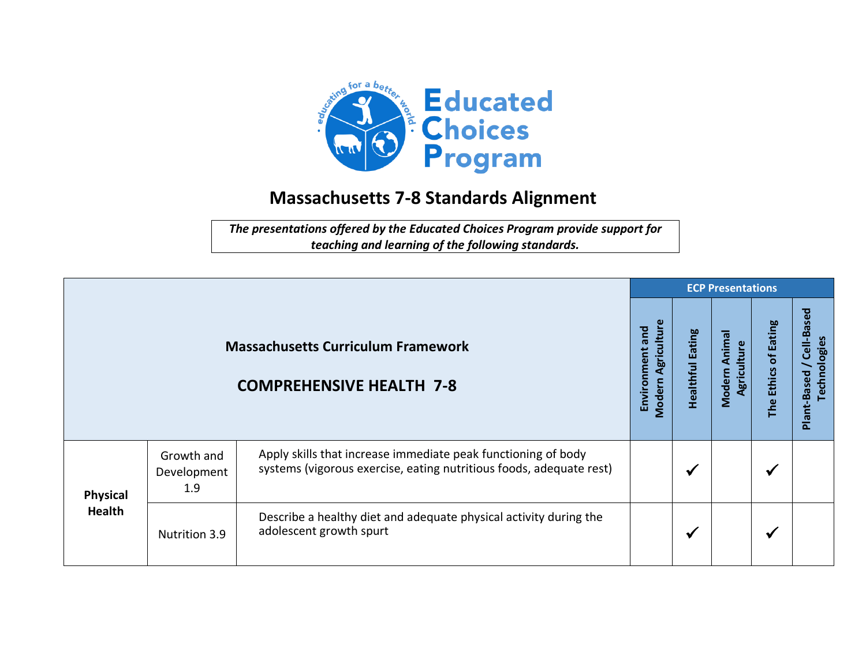

## **Massachusetts 7-8 Standards Alignment**

*The presentations offered by the Educated Choices Program provide support for teaching and learning of the following standards.*

|                                                                              |                                  | <b>ECP Presentations</b>                                                                                                             |  |                         |                              |                      |                                          |  |
|------------------------------------------------------------------------------|----------------------------------|--------------------------------------------------------------------------------------------------------------------------------------|--|-------------------------|------------------------------|----------------------|------------------------------------------|--|
| <b>Massachusetts Curriculum Framework</b><br><b>COMPREHENSIVE HEALTH 7-8</b> |                                  |                                                                                                                                      |  | <b>Healthful Eating</b> | Modern Animal<br>Agriculture | The Ethics of Eating | Plant-Based / Cell-Based<br>Technologies |  |
| <b>Physical</b><br><b>Health</b>                                             | Growth and<br>Development<br>1.9 | Apply skills that increase immediate peak functioning of body<br>systems (vigorous exercise, eating nutritious foods, adequate rest) |  | √                       |                              | $\checkmark$         |                                          |  |
|                                                                              | Nutrition 3.9                    | Describe a healthy diet and adequate physical activity during the<br>adolescent growth spurt                                         |  | √                       |                              | $\checkmark$         |                                          |  |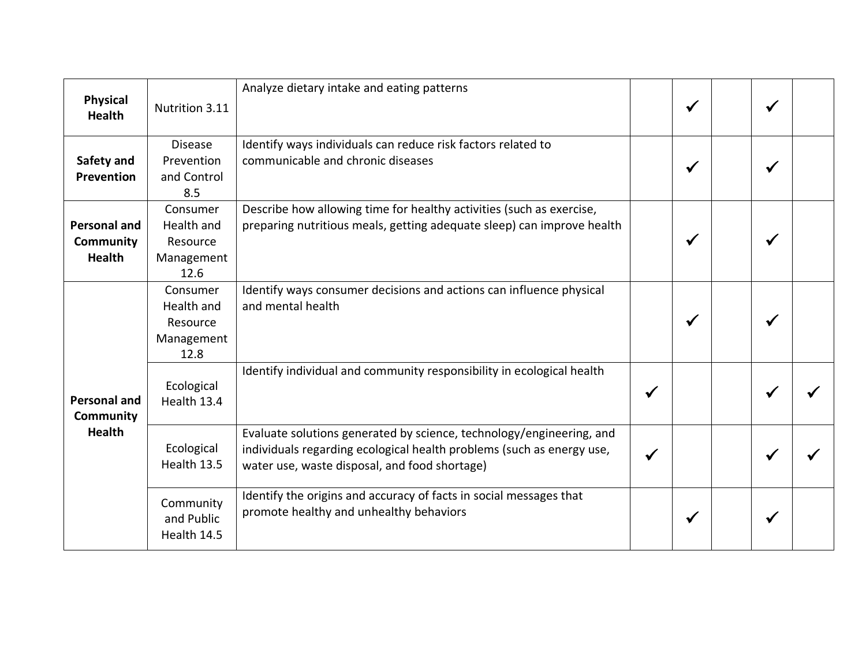| <b>Physical</b><br><b>Health</b>                         | Nutrition 3.11                                           | Analyze dietary intake and eating patterns                                                                                                                                                     |              | $\checkmark$ | $\checkmark$ |  |
|----------------------------------------------------------|----------------------------------------------------------|------------------------------------------------------------------------------------------------------------------------------------------------------------------------------------------------|--------------|--------------|--------------|--|
| Safety and<br><b>Prevention</b>                          | <b>Disease</b><br>Prevention<br>and Control<br>8.5       | Identify ways individuals can reduce risk factors related to<br>communicable and chronic diseases                                                                                              |              | $\checkmark$ | √            |  |
| <b>Personal and</b><br><b>Community</b><br><b>Health</b> | Consumer<br>Health and<br>Resource<br>Management<br>12.6 | Describe how allowing time for healthy activities (such as exercise,<br>preparing nutritious meals, getting adequate sleep) can improve health                                                 |              | $\checkmark$ | ✔            |  |
| <b>Personal and</b><br><b>Community</b><br><b>Health</b> | Consumer<br>Health and<br>Resource<br>Management<br>12.8 | Identify ways consumer decisions and actions can influence physical<br>and mental health                                                                                                       |              | $\checkmark$ |              |  |
|                                                          | Ecological<br>Health 13.4                                | Identify individual and community responsibility in ecological health                                                                                                                          |              |              |              |  |
|                                                          | Ecological<br>Health 13.5                                | Evaluate solutions generated by science, technology/engineering, and<br>individuals regarding ecological health problems (such as energy use,<br>water use, waste disposal, and food shortage) | $\checkmark$ |              | √            |  |
|                                                          | Community<br>and Public<br>Health 14.5                   | Identify the origins and accuracy of facts in social messages that<br>promote healthy and unhealthy behaviors                                                                                  |              | $\checkmark$ | ✔            |  |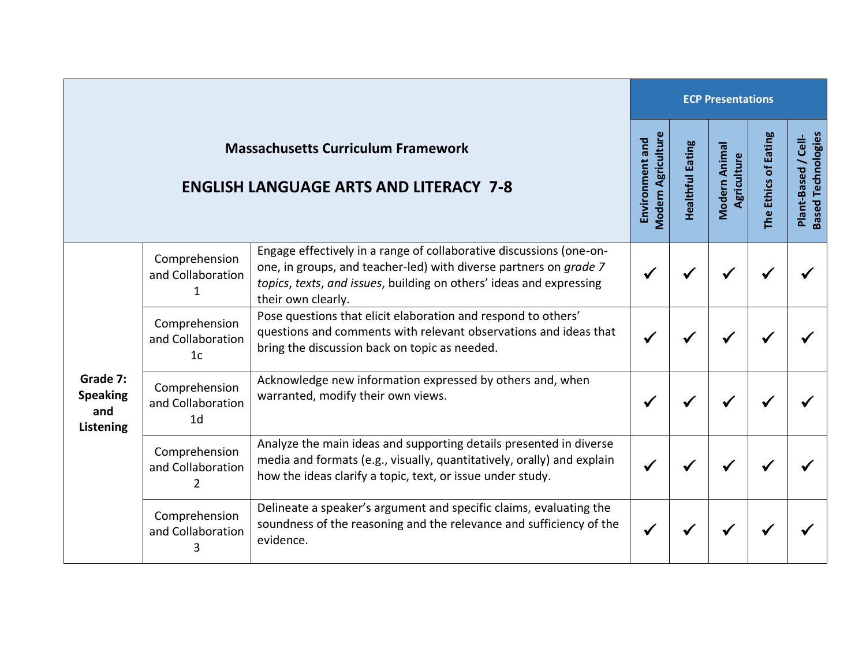|                                                                                            |                                                      |                                                                                                                                                                                                                                       | <b>ECP Presentations</b>                     |                         |                              |                      |                                                       |  |  |
|--------------------------------------------------------------------------------------------|------------------------------------------------------|---------------------------------------------------------------------------------------------------------------------------------------------------------------------------------------------------------------------------------------|----------------------------------------------|-------------------------|------------------------------|----------------------|-------------------------------------------------------|--|--|
| <b>Massachusetts Curriculum Framework</b><br><b>ENGLISH LANGUAGE ARTS AND LITERACY 7-8</b> |                                                      |                                                                                                                                                                                                                                       | <b>Modern Agriculture</b><br>Environment and | <b>Healthful Eating</b> | Modern Animal<br>Agriculture | The Ethics of Eating | <b>Based Technologies</b><br>$/$ Cell-<br>Plant-Based |  |  |
| Grade 7:<br><b>Speaking</b><br>and<br>Listening                                            | Comprehension<br>and Collaboration                   | Engage effectively in a range of collaborative discussions (one-on-<br>one, in groups, and teacher-led) with diverse partners on grade 7<br>topics, texts, and issues, building on others' ideas and expressing<br>their own clearly. |                                              |                         |                              |                      |                                                       |  |  |
|                                                                                            | Comprehension<br>and Collaboration<br>1 <sub>c</sub> | Pose questions that elicit elaboration and respond to others'<br>questions and comments with relevant observations and ideas that<br>bring the discussion back on topic as needed.                                                    |                                              |                         |                              |                      |                                                       |  |  |
|                                                                                            | Comprehension<br>and Collaboration<br>1 <sub>d</sub> | Acknowledge new information expressed by others and, when<br>warranted, modify their own views.                                                                                                                                       |                                              |                         |                              |                      |                                                       |  |  |
|                                                                                            | Comprehension<br>and Collaboration<br>2              | Analyze the main ideas and supporting details presented in diverse<br>media and formats (e.g., visually, quantitatively, orally) and explain<br>how the ideas clarify a topic, text, or issue under study.                            |                                              |                         |                              |                      |                                                       |  |  |
|                                                                                            | Comprehension<br>and Collaboration                   | Delineate a speaker's argument and specific claims, evaluating the<br>soundness of the reasoning and the relevance and sufficiency of the<br>evidence.                                                                                |                                              |                         |                              |                      |                                                       |  |  |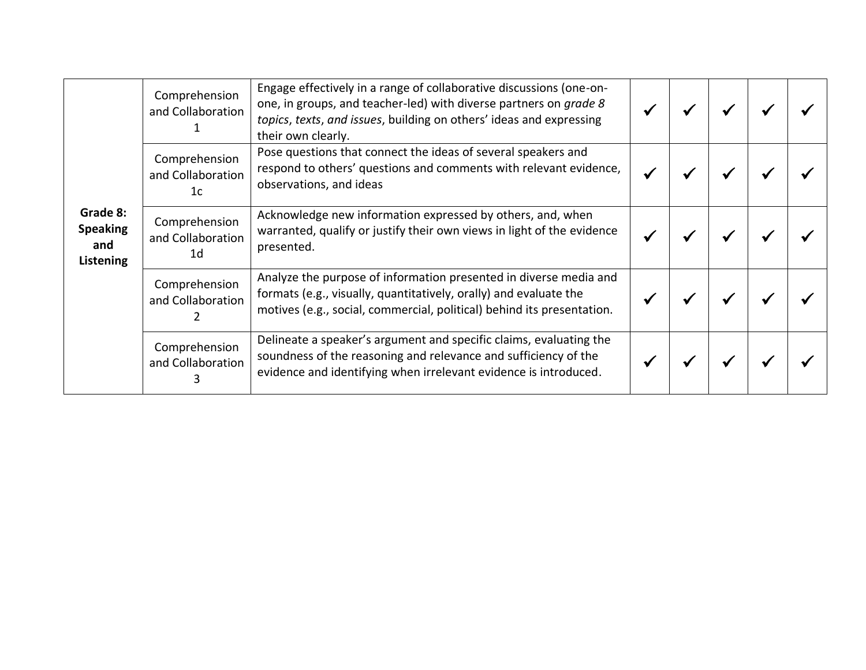| Grade 8:<br><b>Speaking</b><br>and<br>Listening | Comprehension<br>and Collaboration                   | Engage effectively in a range of collaborative discussions (one-on-<br>one, in groups, and teacher-led) with diverse partners on grade 8<br>topics, texts, and issues, building on others' ideas and expressing<br>their own clearly. |  |  |  |
|-------------------------------------------------|------------------------------------------------------|---------------------------------------------------------------------------------------------------------------------------------------------------------------------------------------------------------------------------------------|--|--|--|
|                                                 | Comprehension<br>and Collaboration<br>1c             | Pose questions that connect the ideas of several speakers and<br>respond to others' questions and comments with relevant evidence,<br>observations, and ideas                                                                         |  |  |  |
|                                                 | Comprehension<br>and Collaboration<br>1 <sub>d</sub> | Acknowledge new information expressed by others, and, when<br>warranted, qualify or justify their own views in light of the evidence<br>presented.                                                                                    |  |  |  |
|                                                 | Comprehension<br>and Collaboration                   | Analyze the purpose of information presented in diverse media and<br>formats (e.g., visually, quantitatively, orally) and evaluate the<br>motives (e.g., social, commercial, political) behind its presentation.                      |  |  |  |
|                                                 | Comprehension<br>and Collaboration                   | Delineate a speaker's argument and specific claims, evaluating the<br>soundness of the reasoning and relevance and sufficiency of the<br>evidence and identifying when irrelevant evidence is introduced.                             |  |  |  |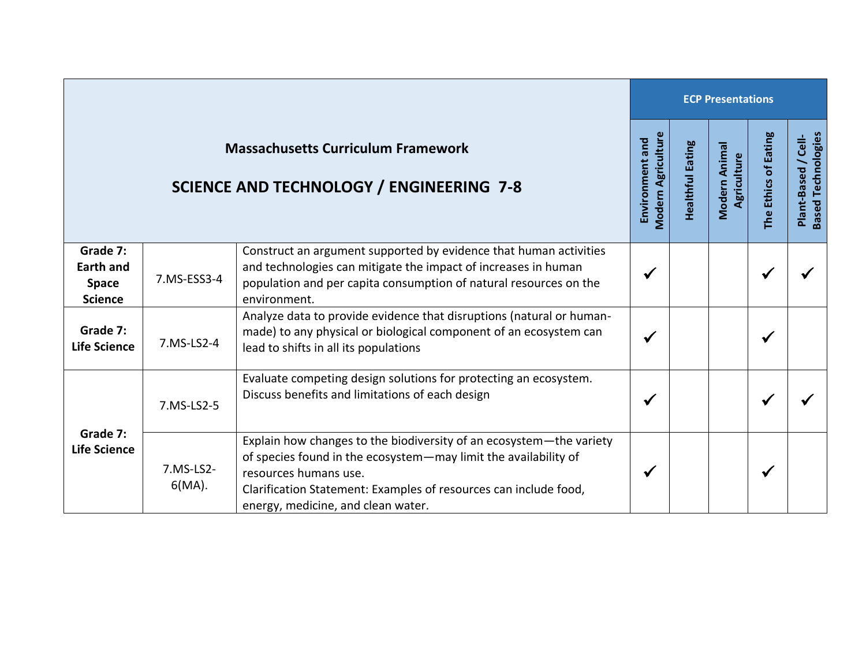|                                                                                              |                        |                                                                                                                                                                                                                                                                           |              | <b>ECP Presentations</b> |                              |                      |                                                  |  |  |  |
|----------------------------------------------------------------------------------------------|------------------------|---------------------------------------------------------------------------------------------------------------------------------------------------------------------------------------------------------------------------------------------------------------------------|--------------|--------------------------|------------------------------|----------------------|--------------------------------------------------|--|--|--|
| <b>Massachusetts Curriculum Framework</b><br><b>SCIENCE AND TECHNOLOGY / ENGINEERING 7-8</b> |                        |                                                                                                                                                                                                                                                                           |              | <b>Healthful Eating</b>  | Modern Animal<br>Agriculture | The Ethics of Eating | <b>Based Technologies</b><br>Plant-Based / Cell- |  |  |  |
| Grade 7:<br><b>Earth and</b><br><b>Space</b><br><b>Science</b>                               | 7.MS-ESS3-4            | Construct an argument supported by evidence that human activities<br>and technologies can mitigate the impact of increases in human<br>population and per capita consumption of natural resources on the<br>environment.                                                  | $\checkmark$ |                          |                              | ✔                    |                                                  |  |  |  |
| Grade 7:<br><b>Life Science</b>                                                              | 7.MS-LS2-4             | Analyze data to provide evidence that disruptions (natural or human-<br>made) to any physical or biological component of an ecosystem can<br>lead to shifts in all its populations                                                                                        | $\checkmark$ |                          |                              | $\checkmark$         |                                                  |  |  |  |
| Grade 7:<br><b>Life Science</b>                                                              | 7.MS-LS2-5             | Evaluate competing design solutions for protecting an ecosystem.<br>Discuss benefits and limitations of each design                                                                                                                                                       | $\checkmark$ |                          |                              |                      |                                                  |  |  |  |
|                                                                                              | 7.MS-LS2-<br>$6(MA)$ . | Explain how changes to the biodiversity of an ecosystem-the variety<br>of species found in the ecosystem-may limit the availability of<br>resources humans use.<br>Clarification Statement: Examples of resources can include food,<br>energy, medicine, and clean water. | ✔            |                          |                              | ✔                    |                                                  |  |  |  |